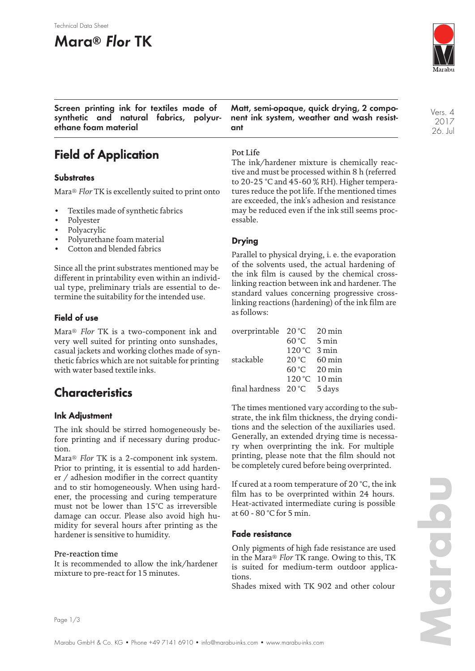#### Technical Data Sheet

# **Mara® Flor TK**



Vers. 4 2017 26. Jul

**Screen printing ink for textiles made of synthetic and natural fabrics, polyurethane foam material**

**Matt, semi-opaque, quick drying, 2 component ink system, weather and wash resistant**

## **Field of Application**

#### **Substrates**

Mara® *Flor* TK is excellently suited to print onto

- Textiles made of synthetic fabrics
- Polyester
- Polyacrylic
- Polyurethane foam material
- Cotton and blended fabrics

Since all the print substrates mentioned may be different in printability even within an individual type, preliminary trials are essential to determine the suitability for the intended use.

### **Field of use**

Mara® *Flor* TK is a two-component ink and very well suited for printing onto sunshades, casual jackets and working clothes made of synthetic fabrics which are not suitable for printing with water based textile inks.

## **Characteristics**

### **Ink Adjustment**

The ink should be stirred homogeneously before printing and if necessary during production.

Mara® *Flor* TK is a 2-component ink system. Prior to printing, it is essential to add hardener / adhesion modifier in the correct quantity and to stir homogeneously. When using hardener, the processing and curing temperature must not be lower than 15°C as irreversible damage can occur. Please also avoid high humidity for several hours after printing as the hardener is sensitive to humidity.

#### Pre-reaction time

It is recommended to allow the ink/hardener mixture to pre-react for 15 minutes.

### Pot Life

The ink/hardener mixture is chemically reactive and must be processed within 8 h (referred to 20-25 °C and 45-60 % RH). Higher temperatures reduce the pot life. If the mentioned times are exceeded, the ink's adhesion and resistance may be reduced even if the ink still seems processable.

### **Drying**

Parallel to physical drying, i. e. the evaporation of the solvents used, the actual hardening of the ink film is caused by the chemical crosslinking reaction between ink and hardener. The standard values concerning progressive crosslinking reactions (hardening) of the ink film are as follows:

| overprintable 20 °C  |        | $20 \,\mathrm{min}$ |
|----------------------|--------|---------------------|
|                      | 60 °C  | $5 \text{ min}$     |
|                      | 120 °C | 3 min               |
| stackable            | 20 °C  | $60 \,\mathrm{min}$ |
|                      |        | $60 °C$ 20 min      |
|                      |        | 120 °C 10 min       |
| final hardness 20 °C |        | 5 days              |

The times mentioned vary according to the substrate, the ink film thickness, the drying conditions and the selection of the auxiliaries used. Generally, an extended drying time is necessary when overprinting the ink. For multiple printing, please note that the film should not be completely cured before being overprinted.

If cured at a room temperature of 20 °C, the ink film has to be overprinted within 24 hours. Heat-activated intermediate curing is possible at 60 - 80 °C for 5 min.

#### **Fade resistance**

Only pigments of high fade resistance are used in the Mara® *Flor* TK range. Owing to this, TK is suited for medium-term outdoor applications.

Shades mixed with TK 902 and other colour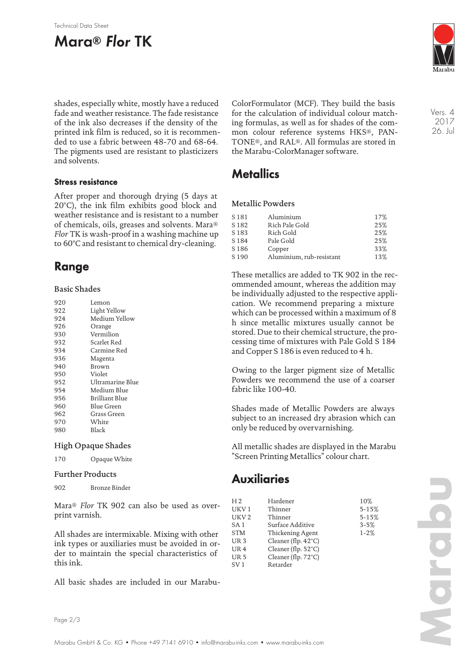#### Technical Data Sheet

# **Mara® Flor TK**



shades, especially white, mostly have a reduced fade and weather resistance. The fade resistance of the ink also decreases if the density of the printed ink film is reduced, so it is recommended to use a fabric between 48-70 and 68-64. The pigments used are resistant to plasticizers and solvents.

#### **Stress resistance**

After proper and thorough drying (5 days at 20°C), the ink film exhibits good block and weather resistance and is resistant to a number of chemicals, oils, greases and solvents. Mara® *Flor* TK is wash-proof in a washing machine up to 60°C and resistant to chemical dry-cleaning.

## **Range**

#### Basic Shades

| 920 | Lemon            |
|-----|------------------|
| 922 | Light Yellow     |
| 924 | Medium Yellow    |
| 926 | Orange           |
| 930 | Vermilion        |
| 932 | Scarlet Red      |
| 934 | Carmine Red      |
| 936 | Magenta          |
| 940 | Brown            |
| 950 | Violet           |
| 952 | Ultramarine Blue |
| 954 | Medium Blue      |
| 956 | Brilliant Blue   |
| 960 | Blue Green       |
| 962 | Grass Green      |
| 970 | White            |
| 980 | Black            |
|     |                  |

#### High Opaque Shades

170 Opaque White

#### Further Products

902 Bronze Binder

Mara® *Flor* TK 902 can also be used as overprint varnish.

All shades are intermixable. Mixing with other ink types or auxiliaries must be avoided in order to maintain the special characteristics of this ink.

All basic shades are included in our Marabu-

ColorFormulator (MCF). They build the basis for the calculation of individual colour matching formulas, as well as for shades of the common colour reference systems HKS®, PAN-TONE®, and RAL®. All formulas are stored in the Marabu-ColorManager software.

### **Metallics**

#### Metallic Powders

| 17% |
|-----|
|     |
| 25% |
| 25% |
| 25% |
| 33% |
| 13% |
|     |

These metallics are added to TK 902 in the recommended amount, whereas the addition may be individually adjusted to the respective application. We recommend preparing a mixture which can be processed within a maximum of 8 h since metallic mixtures usually cannot be stored. Due to their chemical structure, the processing time of mixtures with Pale Gold S 184 and Copper S 186 is even reduced to 4 h.

Owing to the larger pigment size of Metallic Powders we recommend the use of a coarser fabric like 100-40.

Shades made of Metallic Powders are always subject to an increased dry abrasion which can only be reduced by overvarnishing.

All metallic shades are displayed in the Marabu "Screen Printing Metallics" colour chart.

## **Auxiliaries**

| H <sub>2</sub>   | Hardener                      | 10%       |
|------------------|-------------------------------|-----------|
| UKV <sub>1</sub> | Thinner                       | $5 - 15%$ |
| UKV <sub>2</sub> | Thinner                       | $5 - 15%$ |
| SA <sub>1</sub>  | Surface Additive              | $3 - 5%$  |
| <b>STM</b>       | Thickening Agent              | $1 - 2%$  |
| UR <sub>3</sub>  | Cleaner (flp. $42^{\circ}$ C) |           |
| UR <sub>4</sub>  | Cleaner (flp. 52°C)           |           |
| UR <sub>5</sub>  | Cleaner (flp. 72°C)           |           |
| SV <sub>1</sub>  | Retarder                      |           |
|                  |                               |           |

Vers. 4 2017 26. Jul